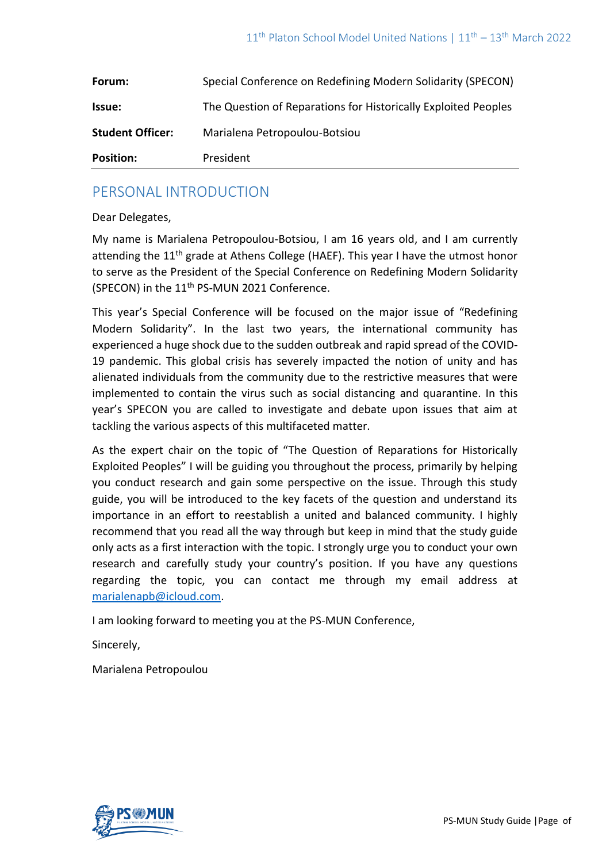| Forum:                  | Special Conference on Redefining Modern Solidarity (SPECON)    |
|-------------------------|----------------------------------------------------------------|
| <b>Issue:</b>           | The Question of Reparations for Historically Exploited Peoples |
| <b>Student Officer:</b> | Marialena Petropoulou-Botsiou                                  |
| <b>Position:</b>        | President                                                      |

## PERSONAL INTRODUCTION

Dear Delegates,

My name is Marialena Petropoulou-Botsiou, I am 16 years old, and I am currently attending the  $11<sup>th</sup>$  grade at Athens College (HAEF). This year I have the utmost honor to serve as the President of the Special Conference on Redefining Modern Solidarity (SPECON) in the 11<sup>th</sup> PS-MUN 2021 Conference.

This year's Special Conference will be focused on the major issue of "Redefining Modern Solidarity". In the last two years, the international community has experienced a huge shock due to the sudden outbreak and rapid spread of the COVID-19 pandemic. This global crisis has severely impacted the notion of unity and has alienated individuals from the community due to the restrictive measures that were implemented to contain the virus such as social distancing and quarantine. In this year's SPECON you are called to investigate and debate upon issues that aim at tackling the various aspects of this multifaceted matter.

As the expert chair on the topic of "The Question of Reparations for Historically Exploited Peoples" I will be guiding you throughout the process, primarily by helping you conduct research and gain some perspective on the issue. Through this study guide, you will be introduced to the key facets of the question and understand its importance in an effort to reestablish a united and balanced community. I highly recommend that you read all the way through but keep in mind that the study guide only acts as a first interaction with the topic. I strongly urge you to conduct your own research and carefully study your country's position. If you have any questions regarding the topic, you can contact me through my email address at [marialenapb@icloud.com.](mailto:marialenapb@icloud.com)

I am looking forward to meeting you at the PS-MUN Conference,

Sincerely,

Marialena Petropoulou

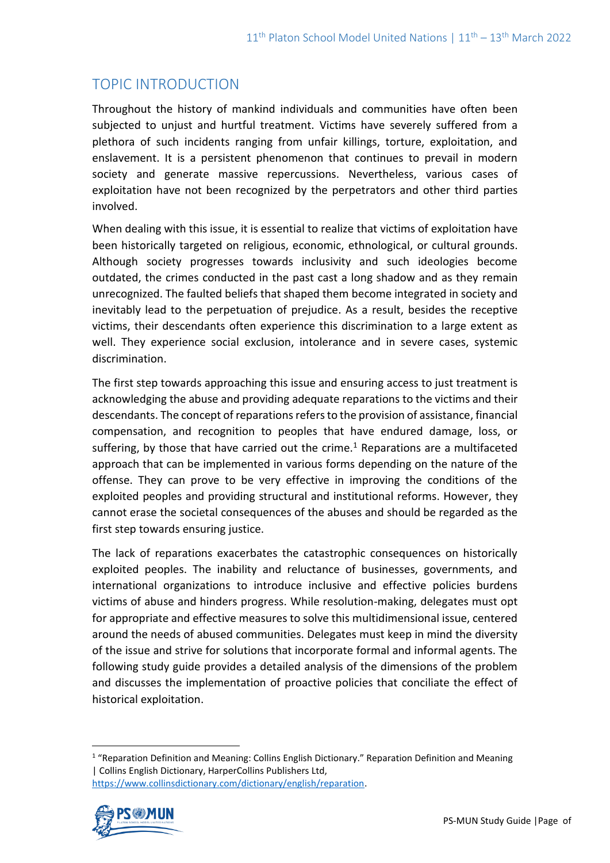# TOPIC INTRODUCTION

Throughout the history of mankind individuals and communities have often been subjected to unjust and hurtful treatment. Victims have severely suffered from a plethora of such incidents ranging from unfair killings, torture, exploitation, and enslavement. It is a persistent phenomenon that continues to prevail in modern society and generate massive repercussions. Nevertheless, various cases of exploitation have not been recognized by the perpetrators and other third parties involved.

When dealing with this issue, it is essential to realize that victims of exploitation have been historically targeted on religious, economic, ethnological, or cultural grounds. Although society progresses towards inclusivity and such ideologies become outdated, the crimes conducted in the past cast a long shadow and as they remain unrecognized. The faulted beliefs that shaped them become integrated in society and inevitably lead to the perpetuation of prejudice. As a result, besides the receptive victims, their descendants often experience this discrimination to a large extent as well. They experience social exclusion, intolerance and in severe cases, systemic discrimination.

The first step towards approaching this issue and ensuring access to just treatment is acknowledging the abuse and providing adequate reparations to the victims and their descendants. The concept of reparations refers to the provision of assistance, financial compensation, and recognition to peoples that have endured damage, loss, or suffering, by those that have carried out the crime.<sup>1</sup> Reparations are a multifaceted approach that can be implemented in various forms depending on the nature of the offense. They can prove to be very effective in improving the conditions of the exploited peoples and providing structural and institutional reforms. However, they cannot erase the societal consequences of the abuses and should be regarded as the first step towards ensuring justice.

The lack of reparations exacerbates the catastrophic consequences on historically exploited peoples. The inability and reluctance of businesses, governments, and international organizations to introduce inclusive and effective policies burdens victims of abuse and hinders progress. While resolution-making, delegates must opt for appropriate and effective measures to solve this multidimensional issue, centered around the needs of abused communities. Delegates must keep in mind the diversity of the issue and strive for solutions that incorporate formal and informal agents. The following study guide provides a detailed analysis of the dimensions of the problem and discusses the implementation of proactive policies that conciliate the effect of historical exploitation.

<sup>&</sup>lt;sup>1</sup> "Reparation Definition and Meaning: Collins English Dictionary." Reparation Definition and Meaning | Collins English Dictionary, HarperCollins Publishers Ltd, [https://www.collinsdictionary.com/dictionary/english/reparation.](https://www.collinsdictionary.com/dictionary/english/reparation)

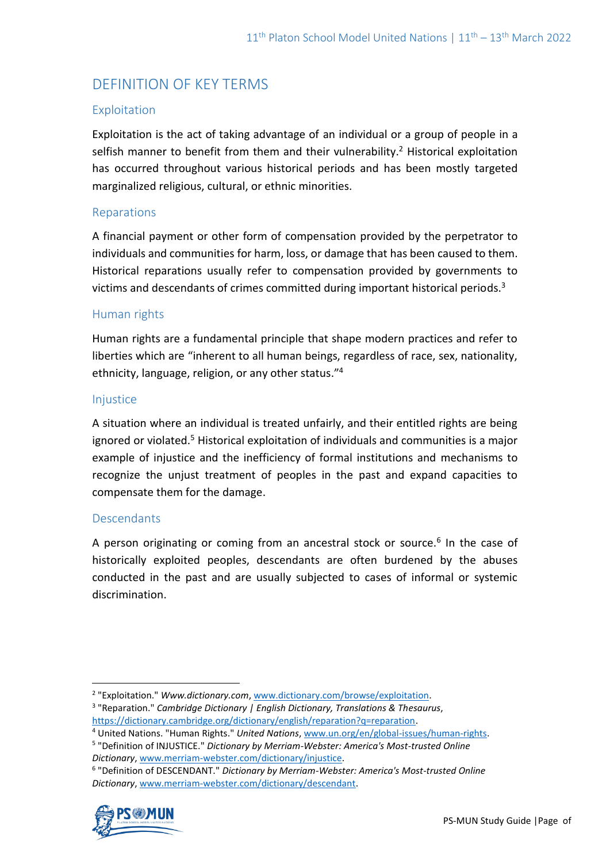# DEFINITION OF KEY TERMS

### Exploitation

Exploitation is the act of taking advantage of an individual or a group of people in a selfish manner to benefit from them and their vulnerability.<sup>2</sup> Historical exploitation has occurred throughout various historical periods and has been mostly targeted marginalized religious, cultural, or ethnic minorities.

### Reparations

A financial payment or other form of compensation provided by the perpetrator to individuals and communities for harm, loss, or damage that has been caused to them. Historical reparations usually refer to compensation provided by governments to victims and descendants of crimes committed during important historical periods.<sup>3</sup>

### Human rights

Human rights are a fundamental principle that shape modern practices and refer to liberties which are "inherent to all human beings, regardless of race, sex, nationality, ethnicity, language, religion, or any other status." 4

#### Injustice

A situation where an individual is treated unfairly, and their entitled rights are being ignored or violated.<sup>5</sup> Historical exploitation of individuals and communities is a major example of injustice and the inefficiency of formal institutions and mechanisms to recognize the unjust treatment of peoples in the past and expand capacities to compensate them for the damage.

### **Descendants**

A person originating or coming from an ancestral stock or source.<sup>6</sup> In the case of historically exploited peoples, descendants are often burdened by the abuses conducted in the past and are usually subjected to cases of informal or systemic discrimination.

3 "Reparation." *Cambridge Dictionary | English Dictionary, Translations & Thesaurus*, [https://dictionary.cambridge.org/dictionary/english/reparation?q=reparation.](https://dictionary.cambridge.org/dictionary/english/reparation?q=reparation)

<sup>6</sup> "Definition of DESCENDANT." *Dictionary by Merriam-Webster: America's Most-trusted Online Dictionary*[, www.merriam-webster.com/dictionary/descendant.](http://www.merriam-webster.com/dictionary/descendant)



<sup>&</sup>lt;sup>2</sup> "Exploitation." *Www.dictionary.com,* [www.dictionary.com/browse/exploitation.](http://www.dictionary.com/browse/exploitation)

<sup>4</sup> United Nations. "Human Rights." *United Nations*[, www.un.org/en/global-issues/human-rights.](http://www.un.org/en/global-issues/human-rights) 

<sup>5</sup> "Definition of INJUSTICE." *Dictionary by Merriam-Webster: America's Most-trusted Online Dictionary*[, www.merriam-webster.com/dictionary/injustice.](http://www.merriam-webster.com/dictionary/injustice)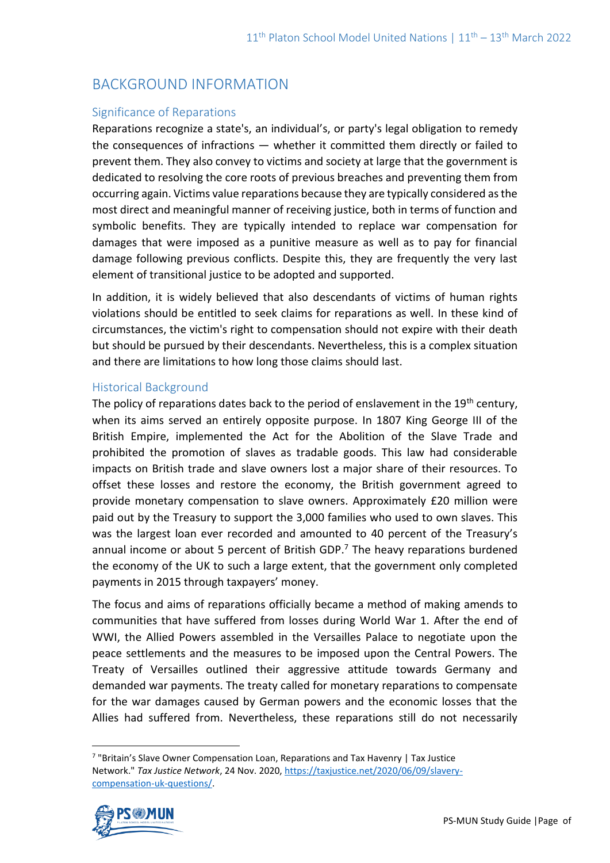# BACKGROUND INFORMATION

#### Significance of Reparations

Reparations recognize a state's, an individual's, or party's legal obligation to remedy the consequences of infractions — whether it committed them directly or failed to prevent them. They also convey to victims and society at large that the government is dedicated to resolving the core roots of previous breaches and preventing them from occurring again. Victims value reparations because they are typically considered as the most direct and meaningful manner of receiving justice, both in terms of function and symbolic benefits. They are typically intended to replace war compensation for damages that were imposed as a punitive measure as well as to pay for financial damage following previous conflicts. Despite this, they are frequently the very last element of transitional justice to be adopted and supported.

In addition, it is widely believed that also descendants of victims of human rights violations should be entitled to seek claims for reparations as well. In these kind of circumstances, the victim's right to compensation should not expire with their death but should be pursued by their descendants. Nevertheless, this is a complex situation and there are limitations to how long those claims should last.

#### Historical Background

The policy of reparations dates back to the period of enslavement in the 19<sup>th</sup> century, when its aims served an entirely opposite purpose. In 1807 King George III of the British Empire, implemented the Act for the Abolition of the Slave Trade and prohibited the promotion of slaves as tradable goods. This law had considerable impacts on British trade and slave owners lost a major share of their resources. To offset these losses and restore the economy, the British government agreed to provide monetary compensation to slave owners. Approximately £20 million were paid out by the Treasury to support the 3,000 families who used to own slaves. This was the largest loan ever recorded and amounted to 40 percent of the Treasury's annual income or about 5 percent of British GDP. <sup>7</sup> The heavy reparations burdened the economy of the UK to such a large extent, that the government only completed payments in 2015 through taxpayers' money.

The focus and aims of reparations officially became a method of making amends to communities that have suffered from losses during World War 1. After the end of WWI, the Allied Powers assembled in the Versailles Palace to negotiate upon the peace settlements and the measures to be imposed upon the Central Powers. The Treaty of Versailles outlined their aggressive attitude towards Germany and demanded war payments. The treaty called for monetary reparations to compensate for the war damages caused by German powers and the economic losses that the Allies had suffered from. Nevertheless, these reparations still do not necessarily

<sup>&</sup>lt;sup>7</sup> "Britain's Slave Owner Compensation Loan, Reparations and Tax Havenry | Tax Justice Network." *Tax Justice Network*, 24 Nov. 2020[, https://taxjustice.net/2020/06/09/slavery](https://taxjustice.net/2020/06/09/slavery-compensation-uk-questions/)[compensation-uk-questions/.](https://taxjustice.net/2020/06/09/slavery-compensation-uk-questions/)

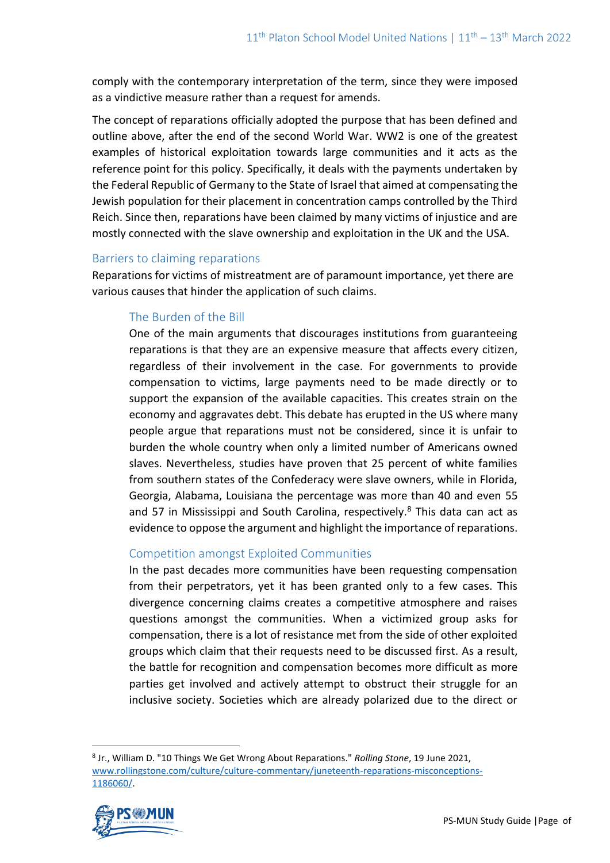comply with the contemporary interpretation of the term, since they were imposed as a vindictive measure rather than a request for amends.

The concept of reparations officially adopted the purpose that has been defined and outline above, after the end of the second World War. WW2 is one of the greatest examples of historical exploitation towards large communities and it acts as the reference point for this policy. Specifically, it deals with the payments undertaken by the Federal Republic of Germany to the State of Israel that aimed at compensating the Jewish population for their placement in concentration camps controlled by the Third Reich. Since then, reparations have been claimed by many victims of injustice and are mostly connected with the slave ownership and exploitation in the UK and the USA.

#### Barriers to claiming reparations

Reparations for victims of mistreatment are of paramount importance, yet there are various causes that hinder the application of such claims.

## The Burden of the Bill

One of the main arguments that discourages institutions from guaranteeing reparations is that they are an expensive measure that affects every citizen, regardless of their involvement in the case. For governments to provide compensation to victims, large payments need to be made directly or to support the expansion of the available capacities. This creates strain on the economy and aggravates debt. This debate has erupted in the US where many people argue that reparations must not be considered, since it is unfair to burden the whole country when only a limited number of Americans owned slaves. Nevertheless, studies have proven that 25 percent of white families from southern states of the Confederacy were slave owners, while in Florida, Georgia, Alabama, Louisiana the percentage was more than 40 and even 55 and 57 in Mississippi and South Carolina, respectively.<sup>8</sup> This data can act as evidence to oppose the argument and highlight the importance of reparations.

### Competition amongst Exploited Communities

In the past decades more communities have been requesting compensation from their perpetrators, yet it has been granted only to a few cases. This divergence concerning claims creates a competitive atmosphere and raises questions amongst the communities. When a victimized group asks for compensation, there is a lot of resistance met from the side of other exploited groups which claim that their requests need to be discussed first. As a result, the battle for recognition and compensation becomes more difficult as more parties get involved and actively attempt to obstruct their struggle for an inclusive society. Societies which are already polarized due to the direct or

<sup>8</sup> Jr., William D. "10 Things We Get Wrong About Reparations." *Rolling Stone*, 19 June 2021, [www.rollingstone.com/culture/culture-commentary/juneteenth-reparations-misconceptions-](http://www.rollingstone.com/culture/culture-commentary/juneteenth-reparations-misconceptions-1186060/)[1186060/.](http://www.rollingstone.com/culture/culture-commentary/juneteenth-reparations-misconceptions-1186060/) 

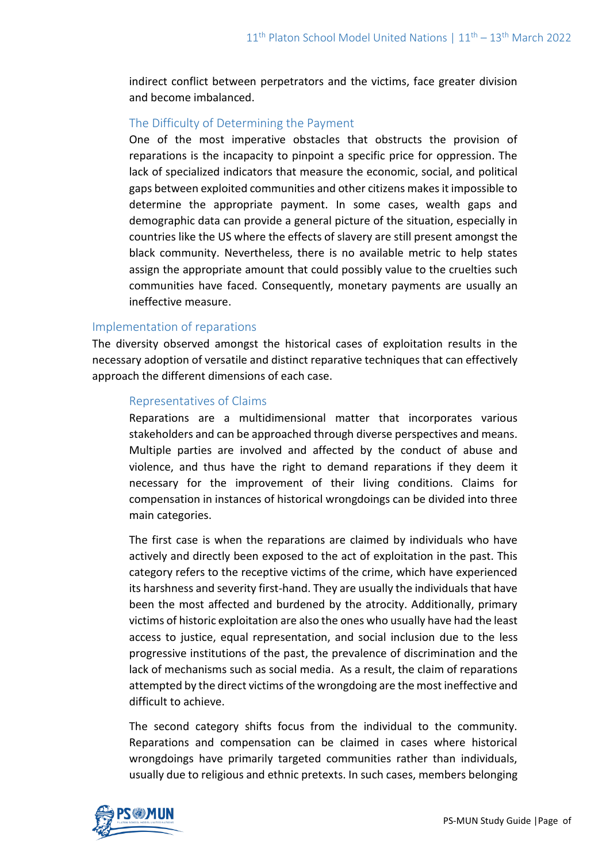indirect conflict between perpetrators and the victims, face greater division and become imbalanced.

### The Difficulty of Determining the Payment

One of the most imperative obstacles that obstructs the provision of reparations is the incapacity to pinpoint a specific price for oppression. The lack of specialized indicators that measure the economic, social, and political gaps between exploited communities and other citizens makes it impossible to determine the appropriate payment. In some cases, wealth gaps and demographic data can provide a general picture of the situation, especially in countries like the US where the effects of slavery are still present amongst the black community. Nevertheless, there is no available metric to help states assign the appropriate amount that could possibly value to the cruelties such communities have faced. Consequently, monetary payments are usually an ineffective measure.

#### Implementation of reparations

The diversity observed amongst the historical cases of exploitation results in the necessary adoption of versatile and distinct reparative techniques that can effectively approach the different dimensions of each case.

#### Representatives of Claims

Reparations are a multidimensional matter that incorporates various stakeholders and can be approached through diverse perspectives and means. Multiple parties are involved and affected by the conduct of abuse and violence, and thus have the right to demand reparations if they deem it necessary for the improvement of their living conditions. Claims for compensation in instances of historical wrongdoings can be divided into three main categories.

The first case is when the reparations are claimed by individuals who have actively and directly been exposed to the act of exploitation in the past. This category refers to the receptive victims of the crime, which have experienced its harshness and severity first-hand. They are usually the individuals that have been the most affected and burdened by the atrocity. Additionally, primary victims of historic exploitation are also the ones who usually have had the least access to justice, equal representation, and social inclusion due to the less progressive institutions of the past, the prevalence of discrimination and the lack of mechanisms such as social media. As a result, the claim of reparations attempted by the direct victims of the wrongdoing are the most ineffective and difficult to achieve.

The second category shifts focus from the individual to the community. Reparations and compensation can be claimed in cases where historical wrongdoings have primarily targeted communities rather than individuals, usually due to religious and ethnic pretexts. In such cases, members belonging

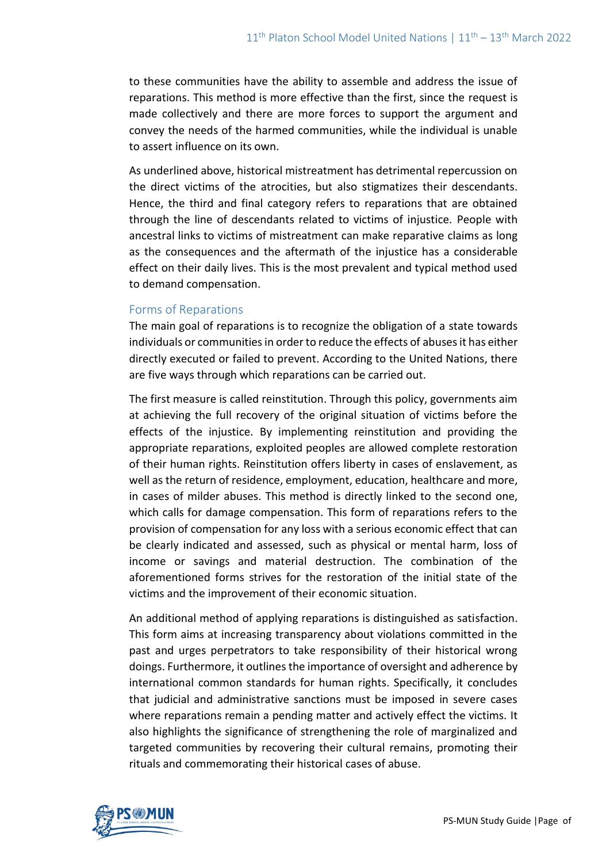to these communities have the ability to assemble and address the issue of reparations. This method is more effective than the first, since the request is made collectively and there are more forces to support the argument and convey the needs of the harmed communities, while the individual is unable to assert influence on its own.

As underlined above, historical mistreatment has detrimental repercussion on the direct victims of the atrocities, but also stigmatizes their descendants. Hence, the third and final category refers to reparations that are obtained through the line of descendants related to victims of injustice. People with ancestral links to victims of mistreatment can make reparative claims as long as the consequences and the aftermath of the injustice has a considerable effect on their daily lives. This is the most prevalent and typical method used to demand compensation.

### Forms of Reparations

The main goal of reparations is to recognize the obligation of a state towards individuals or communities in order to reduce the effects of abusesit has either directly executed or failed to prevent. According to the United Nations, there are five ways through which reparations can be carried out.

The first measure is called reinstitution. Through this policy, governments aim at achieving the full recovery of the original situation of victims before the effects of the injustice. By implementing reinstitution and providing the appropriate reparations, exploited peoples are allowed complete restoration of their human rights. Reinstitution offers liberty in cases of enslavement, as well as the return of residence, employment, education, healthcare and more, in cases of milder abuses. This method is directly linked to the second one, which calls for damage compensation. This form of reparations refers to the provision of compensation for any loss with a serious economic effect that can be clearly indicated and assessed, such as physical or mental harm, loss of income or savings and material destruction. The combination of the aforementioned forms strives for the restoration of the initial state of the victims and the improvement of their economic situation.

An additional method of applying reparations is distinguished as satisfaction. This form aims at increasing transparency about violations committed in the past and urges perpetrators to take responsibility of their historical wrong doings. Furthermore, it outlines the importance of oversight and adherence by international common standards for human rights. Specifically, it concludes that judicial and administrative sanctions must be imposed in severe cases where reparations remain a pending matter and actively effect the victims. It also highlights the significance of strengthening the role of marginalized and targeted communities by recovering their cultural remains, promoting their rituals and commemorating their historical cases of abuse.

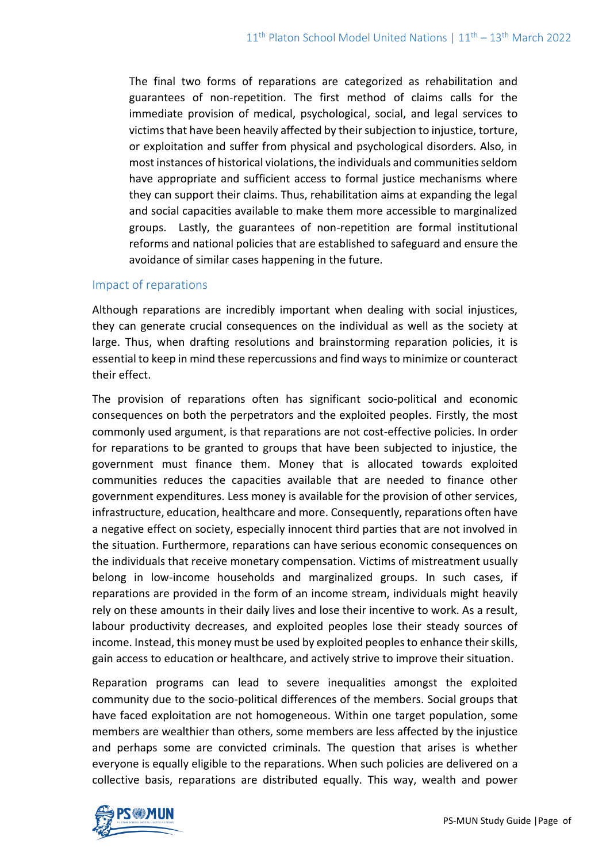The final two forms of reparations are categorized as rehabilitation and guarantees of non-repetition. The first method of claims calls for the immediate provision of medical, psychological, social, and legal services to victims that have been heavily affected by their subjection to injustice, torture, or exploitation and suffer from physical and psychological disorders. Also, in most instances of historical violations, the individuals and communities seldom have appropriate and sufficient access to formal justice mechanisms where they can support their claims. Thus, rehabilitation aims at expanding the legal and social capacities available to make them more accessible to marginalized groups. Lastly, the guarantees of non-repetition are formal institutional reforms and national policies that are established to safeguard and ensure the avoidance of similar cases happening in the future.

#### Impact of reparations

Although reparations are incredibly important when dealing with social injustices, they can generate crucial consequences on the individual as well as the society at large. Thus, when drafting resolutions and brainstorming reparation policies, it is essential to keep in mind these repercussions and find ways to minimize or counteract their effect.

The provision of reparations often has significant socio-political and economic consequences on both the perpetrators and the exploited peoples. Firstly, the most commonly used argument, is that reparations are not cost-effective policies. In order for reparations to be granted to groups that have been subjected to injustice, the government must finance them. Money that is allocated towards exploited communities reduces the capacities available that are needed to finance other government expenditures. Less money is available for the provision of other services, infrastructure, education, healthcare and more. Consequently, reparations often have a negative effect on society, especially innocent third parties that are not involved in the situation. Furthermore, reparations can have serious economic consequences on the individuals that receive monetary compensation. Victims of mistreatment usually belong in low-income households and marginalized groups. In such cases, if reparations are provided in the form of an income stream, individuals might heavily rely on these amounts in their daily lives and lose their incentive to work. As a result, labour productivity decreases, and exploited peoples lose their steady sources of income. Instead, this money must be used by exploited peoples to enhance their skills, gain access to education or healthcare, and actively strive to improve their situation.

Reparation programs can lead to severe inequalities amongst the exploited community due to the socio-political differences of the members. Social groups that have faced exploitation are not homogeneous. Within one target population, some members are wealthier than others, some members are less affected by the injustice and perhaps some are convicted criminals. The question that arises is whether everyone is equally eligible to the reparations. When such policies are delivered on a collective basis, reparations are distributed equally. This way, wealth and power

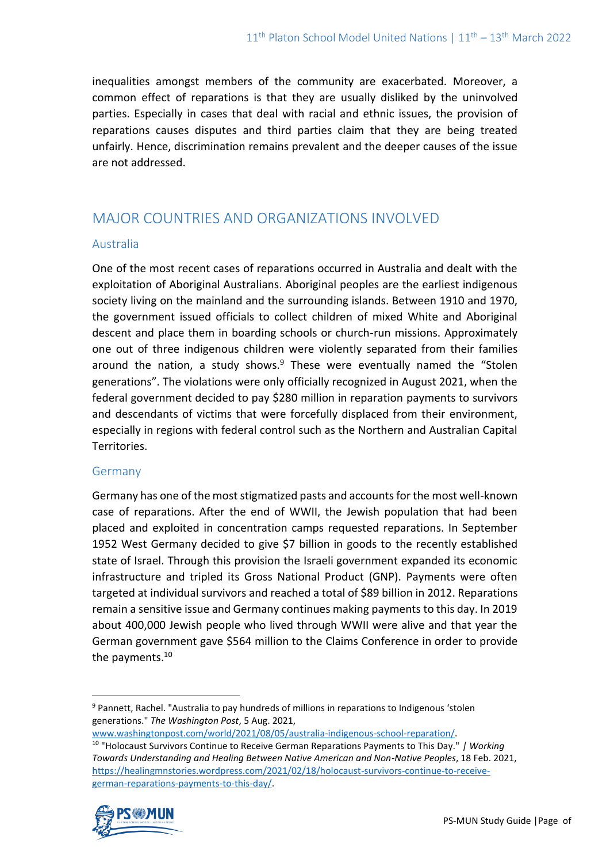inequalities amongst members of the community are exacerbated. Moreover, a common effect of reparations is that they are usually disliked by the uninvolved parties. Especially in cases that deal with racial and ethnic issues, the provision of reparations causes disputes and third parties claim that they are being treated unfairly. Hence, discrimination remains prevalent and the deeper causes of the issue are not addressed.

## MAJOR COUNTRIES AND ORGANIZATIONS INVOLVED

### Australia

One of the most recent cases of reparations occurred in Australia and dealt with the exploitation of Aboriginal Australians. Aboriginal peoples are the earliest indigenous society living on the mainland and the surrounding islands. Between 1910 and 1970, the government issued officials to collect children of mixed White and Aboriginal descent and place them in boarding schools or church-run missions. Approximately one out of three indigenous children were violently separated from their families around the nation, a study shows. $9$  These were eventually named the "Stolen generations". The violations were only officially recognized in August 2021, when the federal government decided to pay \$280 million in reparation payments to survivors and descendants of victims that were forcefully displaced from their environment, especially in regions with federal control such as the Northern and Australian Capital Territories.

#### Germany

Germany has one of the most stigmatized pasts and accounts for the most well-known case of reparations. After the end of WWII, the Jewish population that had been placed and exploited in concentration camps requested reparations. In September 1952 West Germany decided to give \$7 billion in goods to the recently established state of Israel. Through this provision the Israeli government expanded its economic infrastructure and tripled its Gross National Product (GNP). Payments were often targeted at individual survivors and reached a total of \$89 billion in 2012. Reparations remain a sensitive issue and Germany continues making payments to this day. In 2019 about 400,000 Jewish people who lived through WWII were alive and that year the German government gave \$564 million to the Claims Conference in order to provide the payments.<sup>10</sup>

<sup>10</sup> "Holocaust Survivors Continue to Receive German Reparations Payments to This Day." *| Working Towards Understanding and Healing Between Native American and Non-Native Peoples*, 18 Feb. 2021, [https://healingmnstories.wordpress.com/2021/02/18/holocaust-survivors-continue-to-receive](https://healingmnstories.wordpress.com/2021/02/18/holocaust-survivors-continue-to-receive-german-reparations-payments-to-this-day/)[german-reparations-payments-to-this-day/.](https://healingmnstories.wordpress.com/2021/02/18/holocaust-survivors-continue-to-receive-german-reparations-payments-to-this-day/) 



<sup>9</sup> Pannett, Rachel. "Australia to pay hundreds of millions in reparations to Indigenous 'stolen generations." *The Washington Post*, 5 Aug. 2021,

[www.washingtonpost.com/world/2021/08/05/australia-indigenous-school-reparation/.](http://www.washingtonpost.com/world/2021/08/05/australia-indigenous-school-reparation/)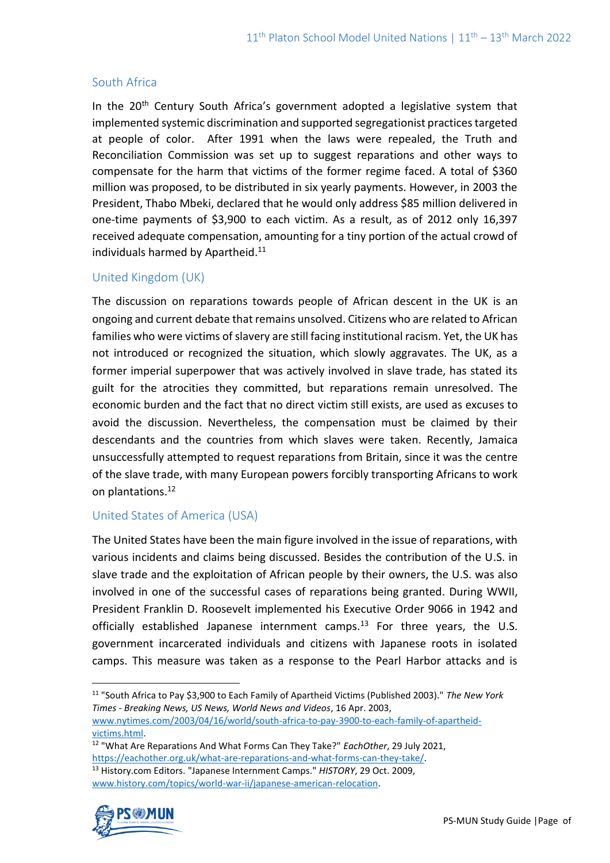## South Africa

In the 20<sup>th</sup> Century South Africa's government adopted a legislative system that implemented systemic discrimination and supported segregationist practices targeted at people of color. After 1991 when the laws were repealed, the Truth and Reconciliation Commission was set up to suggest reparations and other ways to compensate for the harm that victims of the former regime faced. A total of \$360 million was proposed, to be distributed in six yearly payments. However, in 2003 the President, Thabo Mbeki, declared that he would only address \$85 million delivered in one-time payments of \$3,900 to each victim. As a result, as of 2012 only 16,397 received adequate compensation, amounting for a tiny portion of the actual crowd of individuals harmed by Apartheid.<sup>11</sup>

## United Kingdom (UK)

The discussion on reparations towards people of African descent in the UK is an ongoing and current debate that remains unsolved. Citizens who are related to African families who were victims of slavery are still facing institutional racism. Yet, the UK has not introduced or recognized the situation, which slowly aggravates. The UK, as a former imperial superpower that was actively involved in slave trade, has stated its guilt for the atrocities they committed, but reparations remain unresolved. The economic burden and the fact that no direct victim still exists, are used as excuses to avoid the discussion. Nevertheless, the compensation must be claimed by their descendants and the countries from which slaves were taken. Recently, Jamaica unsuccessfully attempted to request reparations from Britain, since it was the centre of the slave trade, with many European powers forcibly transporting Africans to work on plantations. 12

### United States of America (USA)

The United States have been the main figure involved in the issue of reparations, with various incidents and claims being discussed. Besides the contribution of the U.S. in slave trade and the exploitation of African people by their owners, the U.S. was also involved in one of the successful cases of reparations being granted. During WWII, President Franklin D. Roosevelt implemented his Executive Order 9066 in 1942 and officially established Japanese internment camps.<sup>13</sup> For three years, the U.S. government incarcerated individuals and citizens with Japanese roots in isolated camps. This measure was taken as a response to the Pearl Harbor attacks and is

<sup>12</sup> "What Are Reparations And What Forms Can They Take?" *EachOther*, 29 July 2021, [https://eachother.org.uk/what-are-reparations-and-what-forms-can-they-take/.](https://eachother.org.uk/what-are-reparations-and-what-forms-can-they-take/) <sup>13</sup> History.com Editors. "Japanese Internment Camps." *HISTORY*, 29 Oct. 2009, [www.history.com/topics/world-war-ii/japanese-american-relocation.](http://www.history.com/topics/world-war-ii/japanese-american-relocation)



<sup>11</sup> "South Africa to Pay \$3,900 to Each Family of Apartheid Victims (Published 2003)." *The New York Times - Breaking News, US News, World News and Videos*, 16 Apr. 2003,

[www.nytimes.com/2003/04/16/world/south-africa-to-pay-3900-to-each-family-of-apartheid](http://www.nytimes.com/2003/04/16/world/south-africa-to-pay-3900-to-each-family-of-apartheid-victims.html)[victims.html.](http://www.nytimes.com/2003/04/16/world/south-africa-to-pay-3900-to-each-family-of-apartheid-victims.html)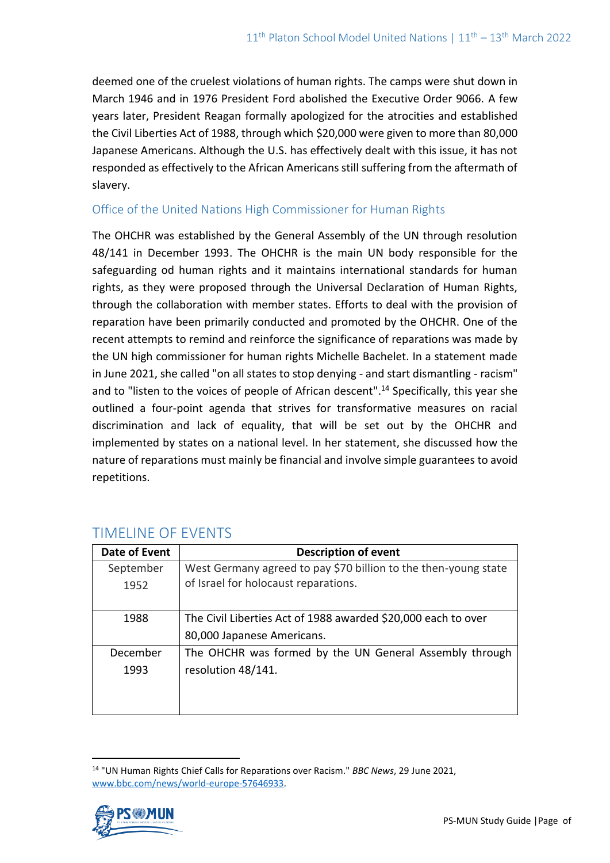deemed one of the cruelest violations of human rights. The camps were shut down in March 1946 and in 1976 President Ford abolished the Executive Order 9066. A few years later, President Reagan formally apologized for the atrocities and established the Civil Liberties Act of 1988, through which \$20,000 were given to more than 80,000 Japanese Americans. Although the U.S. has effectively dealt with this issue, it has not responded as effectively to the African Americans still suffering from the aftermath of slavery.

### Office of the United Nations High Commissioner for Human Rights

The OHCHR was established by the General Assembly of the UN through resolution 48/141 in December 1993. The OHCHR is the main UN body responsible for the safeguarding od human rights and it maintains international standards for human rights, as they were proposed through the Universal Declaration of Human Rights, through the collaboration with member states. Efforts to deal with the provision of reparation have been primarily conducted and promoted by the OHCHR. One of the recent attempts to remind and reinforce the significance of reparations was made by the UN high commissioner for human rights Michelle Bachelet. In a statement made in June 2021, she called "on all states to stop denying - and start dismantling - racism" and to "listen to the voices of people of African descent". <sup>14</sup> Specifically, this year she outlined a four-point agenda that strives for transformative measures on racial discrimination and lack of equality, that will be set out by the OHCHR and implemented by states on a national level. In her statement, she discussed how the nature of reparations must mainly be financial and involve simple guarantees to avoid repetitions.

| <b>Date of Event</b> | <b>Description of event</b>                                     |
|----------------------|-----------------------------------------------------------------|
| September            | West Germany agreed to pay \$70 billion to the then-young state |
| 1952                 | of Israel for holocaust reparations.                            |
|                      |                                                                 |
| 1988                 | The Civil Liberties Act of 1988 awarded \$20,000 each to over   |
|                      | 80,000 Japanese Americans.                                      |
| December             | The OHCHR was formed by the UN General Assembly through         |
| 1993                 | resolution 48/141.                                              |
|                      |                                                                 |
|                      |                                                                 |

# TIMELINE OF EVENTS

<sup>14</sup> "UN Human Rights Chief Calls for Reparations over Racism." *BBC News*, 29 June 2021, [www.bbc.com/news/world-europe-57646933.](http://www.bbc.com/news/world-europe-57646933)

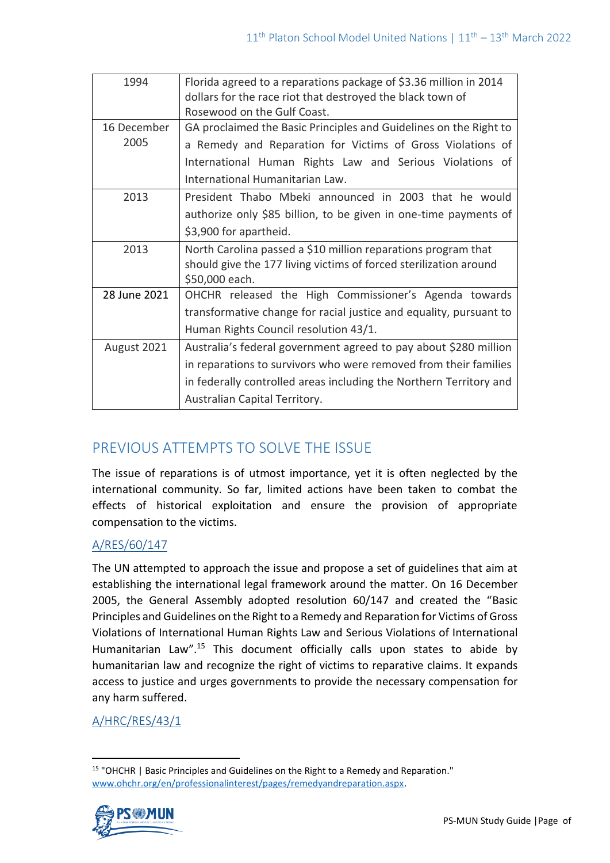| 1994                | Florida agreed to a reparations package of \$3.36 million in 2014<br>dollars for the race riot that destroyed the black town of<br>Rosewood on the Gulf Coast.                                                                              |
|---------------------|---------------------------------------------------------------------------------------------------------------------------------------------------------------------------------------------------------------------------------------------|
| 16 December<br>2005 | GA proclaimed the Basic Principles and Guidelines on the Right to<br>a Remedy and Reparation for Victims of Gross Violations of                                                                                                             |
|                     | International Human Rights Law and Serious Violations of<br>International Humanitarian Law.                                                                                                                                                 |
| 2013                | President Thabo Mbeki announced in 2003 that he would<br>authorize only \$85 billion, to be given in one-time payments of<br>\$3,900 for apartheid.                                                                                         |
| 2013                | North Carolina passed a \$10 million reparations program that<br>should give the 177 living victims of forced sterilization around<br>\$50,000 each.                                                                                        |
| 28 June 2021        | OHCHR released the High Commissioner's Agenda towards<br>transformative change for racial justice and equality, pursuant to<br>Human Rights Council resolution 43/1.                                                                        |
| August 2021         | Australia's federal government agreed to pay about \$280 million<br>in reparations to survivors who were removed from their families<br>in federally controlled areas including the Northern Territory and<br>Australian Capital Territory. |

# PREVIOUS ATTEMPTS TO SOLVE THE ISSUE

The issue of reparations is of utmost importance, yet it is often neglected by the international community. So far, limited actions have been taken to combat the effects of historical exploitation and ensure the provision of appropriate compensation to the victims.

## [A/RES/60/147](https://documents-dds-ny.un.org/doc/UNDOC/GEN/N05/496/42/PDF/N0549642.pdf?OpenElement)

The UN attempted to approach the issue and propose a set of guidelines that aim at establishing the international legal framework around the matter. On 16 December 2005, the General Assembly adopted resolution 60/147 and created the "Basic Principles and Guidelines on the Right to a Remedy and Reparation for Victims of Gross Violations of International Human Rights Law and Serious Violations of International Humanitarian Law".<sup>15</sup> This document officially calls upon states to abide by humanitarian law and recognize the right of victims to reparative claims. It expands access to justice and urges governments to provide the necessary compensation for any harm suffered.

## [A/HRC/RES/43/1](https://documents-dds-ny.un.org/doc/UNDOC/GEN/G20/158/27/PDF/G2015827.pdf?OpenElement)

<sup>&</sup>lt;sup>15</sup> "OHCHR | Basic Principles and Guidelines on the Right to a Remedy and Reparation." [www.ohchr.org/en/professionalinterest/pages/remedyandreparation.aspx.](http://www.ohchr.org/en/professionalinterest/pages/remedyandreparation.aspx)

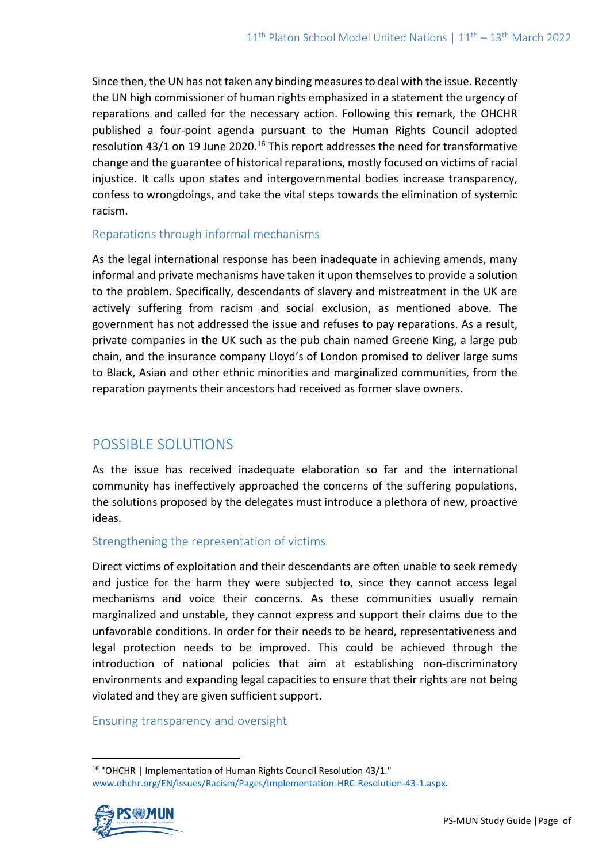Since then, the UN has not taken any binding measures to deal with the issue. Recently the UN high commissioner of human rights emphasized in a statement the urgency of reparations and called for the necessary action. Following this remark, the OHCHR published a four-point agenda pursuant to the Human Rights Council adopted resolution 43/1 on 19 June 2020.<sup>16</sup> This report addresses the need for transformative change and the guarantee of historical reparations, mostly focused on victims of racial injustice. It calls upon states and intergovernmental bodies increase transparency, confess to wrongdoings, and take the vital steps towards the elimination of systemic racism.

#### Reparations through informal mechanisms

As the legal international response has been inadequate in achieving amends, many informal and private mechanisms have taken it upon themselves to provide a solution to the problem. Specifically, descendants of slavery and mistreatment in the UK are actively suffering from racism and social exclusion, as mentioned above. The government has not addressed the issue and refuses to pay reparations. As a result, private companies in the UK such as the pub chain named Greene King, a large pub chain, and the insurance company Lloyd's of London promised to deliver large sums to Black, Asian and other ethnic minorities and marginalized communities, from the reparation payments their ancestors had received as former slave owners.

# POSSIBLE SOLUTIONS

As the issue has received inadequate elaboration so far and the international community has ineffectively approached the concerns of the suffering populations, the solutions proposed by the delegates must introduce a plethora of new, proactive ideas.

### Strengthening the representation of victims

Direct victims of exploitation and their descendants are often unable to seek remedy and justice for the harm they were subjected to, since they cannot access legal mechanisms and voice their concerns. As these communities usually remain marginalized and unstable, they cannot express and support their claims due to the unfavorable conditions. In order for their needs to be heard, representativeness and legal protection needs to be improved. This could be achieved through the introduction of national policies that aim at establishing non-discriminatory environments and expanding legal capacities to ensure that their rights are not being violated and they are given sufficient support.

### Ensuring transparency and oversight

<sup>16</sup> "OHCHR | Implementation of Human Rights Council Resolution 43/1." [www.ohchr.org/EN/Issues/Racism/Pages/Implementation-HRC-Resolution-43-1.aspx.](http://www.ohchr.org/EN/Issues/Racism/Pages/Implementation-HRC-Resolution-43-1.aspx)

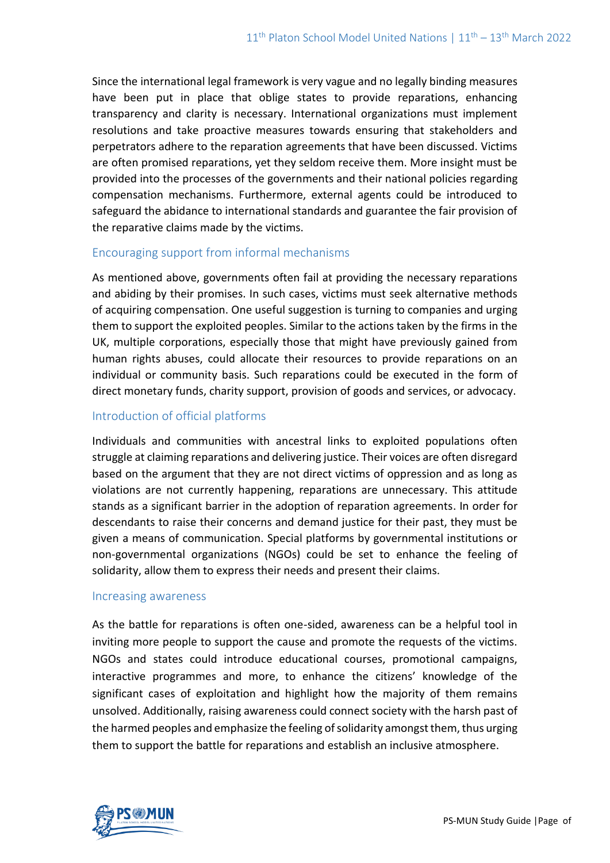Since the international legal framework is very vague and no legally binding measures have been put in place that oblige states to provide reparations, enhancing transparency and clarity is necessary. International organizations must implement resolutions and take proactive measures towards ensuring that stakeholders and perpetrators adhere to the reparation agreements that have been discussed. Victims are often promised reparations, yet they seldom receive them. More insight must be provided into the processes of the governments and their national policies regarding compensation mechanisms. Furthermore, external agents could be introduced to safeguard the abidance to international standards and guarantee the fair provision of the reparative claims made by the victims.

#### Encouraging support from informal mechanisms

As mentioned above, governments often fail at providing the necessary reparations and abiding by their promises. In such cases, victims must seek alternative methods of acquiring compensation. One useful suggestion is turning to companies and urging them to support the exploited peoples. Similar to the actions taken by the firms in the UK, multiple corporations, especially those that might have previously gained from human rights abuses, could allocate their resources to provide reparations on an individual or community basis. Such reparations could be executed in the form of direct monetary funds, charity support, provision of goods and services, or advocacy.

### Introduction of official platforms

Individuals and communities with ancestral links to exploited populations often struggle at claiming reparations and delivering justice. Their voices are often disregard based on the argument that they are not direct victims of oppression and as long as violations are not currently happening, reparations are unnecessary. This attitude stands as a significant barrier in the adoption of reparation agreements. In order for descendants to raise their concerns and demand justice for their past, they must be given a means of communication. Special platforms by governmental institutions or non-governmental organizations (NGOs) could be set to enhance the feeling of solidarity, allow them to express their needs and present their claims.

#### Increasing awareness

As the battle for reparations is often one-sided, awareness can be a helpful tool in inviting more people to support the cause and promote the requests of the victims. NGOs and states could introduce educational courses, promotional campaigns, interactive programmes and more, to enhance the citizens' knowledge of the significant cases of exploitation and highlight how the majority of them remains unsolved. Additionally, raising awareness could connect society with the harsh past of the harmed peoples and emphasize the feeling of solidarity amongst them, thus urging them to support the battle for reparations and establish an inclusive atmosphere.

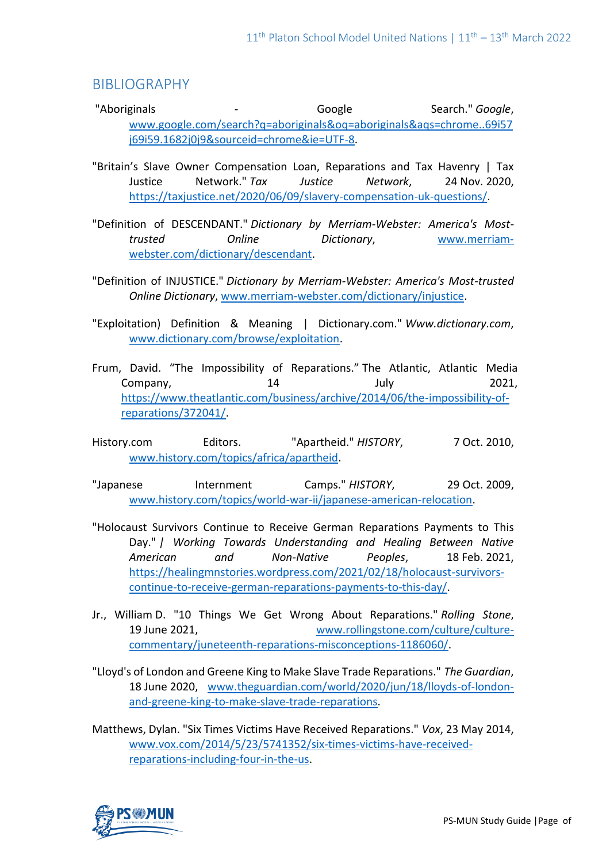## BIBLIOGRAPHY

- "Aboriginals <sup>-</sup> The Search." *Google* Search." *Google*, [www.google.com/search?q=aboriginals&oq=aboriginals&aqs=chrome..69i57](http://www.google.com/search?q=aboriginals&oq=aboriginals&aqs=chrome..69i57j69i59.1682j0j9&sourceid=chrome&ie=UTF-8) [j69i59.1682j0j9&sourceid=chrome&ie=UTF-8.](http://www.google.com/search?q=aboriginals&oq=aboriginals&aqs=chrome..69i57j69i59.1682j0j9&sourceid=chrome&ie=UTF-8)
- "Britain's Slave Owner Compensation Loan, Reparations and Tax Havenry | Tax Justice Network." *Tax Justice Network*, 24 Nov. 2020, [https://taxjustice.net/2020/06/09/slavery-compensation-uk-questions/.](https://taxjustice.net/2020/06/09/slavery-compensation-uk-questions/)
- "Definition of DESCENDANT." *Dictionary by Merriam-Webster: America's Mosttrusted Online Dictionary*, [www.merriam](http://www.merriam-webster.com/dictionary/descendant)[webster.com/dictionary/descendant.](http://www.merriam-webster.com/dictionary/descendant)
- "Definition of INJUSTICE." *Dictionary by Merriam-Webster: America's Most-trusted Online Dictionary*[, www.merriam-webster.com/dictionary/injustice.](http://www.merriam-webster.com/dictionary/injustice)
- "Exploitation) Definition & Meaning | Dictionary.com." *Www.dictionary.com*, [www.dictionary.com/browse/exploitation.](http://www.dictionary.com/browse/exploitation)
- Frum, David. "The Impossibility of Reparations." The Atlantic, Atlantic Media Company, 14 July 2021, [https://www.theatlantic.com/business/archive/2014/06/the-impossibility-of](https://www.theatlantic.com/business/archive/2014/06/the-impossibility-of-reparations/372041/)[reparations/372041/.](https://www.theatlantic.com/business/archive/2014/06/the-impossibility-of-reparations/372041/)
- History.com Editors. "Apartheid." *HISTORY*, 7 Oct. 2010, [www.history.com/topics/africa/apartheid.](http://www.history.com/topics/africa/apartheid)
- "Japanese Internment Camps." *HISTORY*, 29 Oct. 2009, [www.history.com/topics/world-war-ii/japanese-american-relocation.](http://www.history.com/topics/world-war-ii/japanese-american-relocation)
- "Holocaust Survivors Continue to Receive German Reparations Payments to This Day." *| Working Towards Understanding and Healing Between Native American and Non-Native Peoples*, 18 Feb. 2021, [https://healingmnstories.wordpress.com/2021/02/18/holocaust-survivors](https://healingmnstories.wordpress.com/2021/02/18/holocaust-survivors-continue-to-receive-german-reparations-payments-to-this-day/)[continue-to-receive-german-reparations-payments-to-this-day/.](https://healingmnstories.wordpress.com/2021/02/18/holocaust-survivors-continue-to-receive-german-reparations-payments-to-this-day/)
- Jr., William D. "10 Things We Get Wrong About Reparations." *Rolling Stone*, 19 June 2021, [www.rollingstone.com/culture/culture](http://www.rollingstone.com/culture/culture-commentary/juneteenth-reparations-misconceptions-1186060/)[commentary/juneteenth-reparations-misconceptions-1186060/.](http://www.rollingstone.com/culture/culture-commentary/juneteenth-reparations-misconceptions-1186060/)
- "Lloyd's of London and Greene King to Make Slave Trade Reparations." *The Guardian*, 18 June 2020, [www.theguardian.com/world/2020/jun/18/lloyds-of-london](http://www.theguardian.com/world/2020/jun/18/lloyds-of-london-and-greene-king-to-make-slave-trade-reparations)[and-greene-king-to-make-slave-trade-reparations.](http://www.theguardian.com/world/2020/jun/18/lloyds-of-london-and-greene-king-to-make-slave-trade-reparations)
- Matthews, Dylan. "Six Times Victims Have Received Reparations." *Vox*, 23 May 2014, [www.vox.com/2014/5/23/5741352/six-times-victims-have-received](http://www.vox.com/2014/5/23/5741352/six-times-victims-have-received-reparations-including-four-in-the-us)[reparations-including-four-in-the-us.](http://www.vox.com/2014/5/23/5741352/six-times-victims-have-received-reparations-including-four-in-the-us)

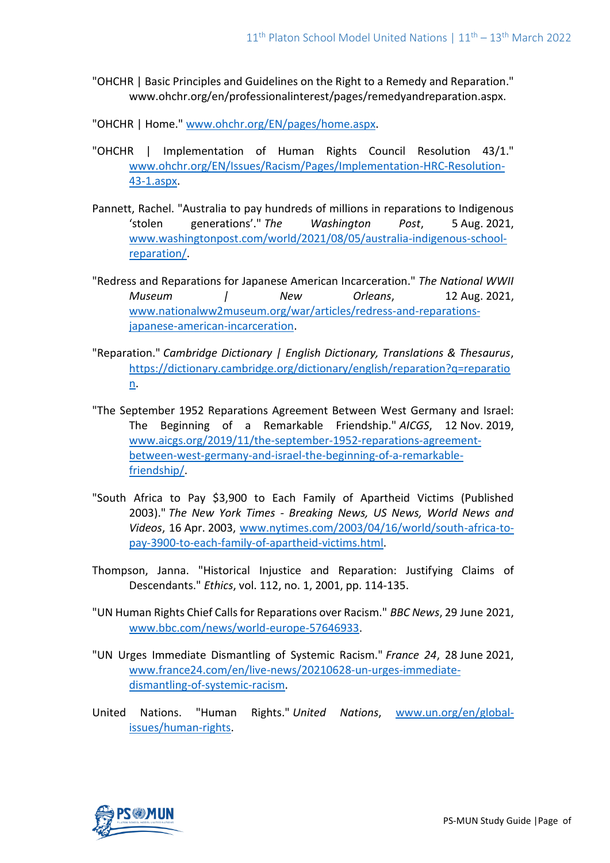- "OHCHR | Basic Principles and Guidelines on the Right to a Remedy and Reparation." www.ohchr.org/en/professionalinterest/pages/remedyandreparation.aspx.
- "OHCHR | Home." [www.ohchr.org/EN/pages/home.aspx.](http://www.ohchr.org/EN/pages/home.aspx)
- "OHCHR | Implementation of Human Rights Council Resolution 43/1." [www.ohchr.org/EN/Issues/Racism/Pages/Implementation-HRC-Resolution-](http://www.ohchr.org/EN/Issues/Racism/Pages/Implementation-HRC-Resolution-43-1.aspx)[43-1.aspx.](http://www.ohchr.org/EN/Issues/Racism/Pages/Implementation-HRC-Resolution-43-1.aspx)
- Pannett, Rachel. "Australia to pay hundreds of millions in reparations to Indigenous 'stolen generations'." *The Washington Post*, 5 Aug. 2021, [www.washingtonpost.com/world/2021/08/05/australia-indigenous-school](http://www.washingtonpost.com/world/2021/08/05/australia-indigenous-school-reparation/)[reparation/.](http://www.washingtonpost.com/world/2021/08/05/australia-indigenous-school-reparation/)
- "Redress and Reparations for Japanese American Incarceration." *The National WWII Museum | New Orleans*, 12 Aug. 2021, [www.nationalww2museum.org/war/articles/redress-and-reparations](http://www.nationalww2museum.org/war/articles/redress-and-reparations-japanese-american-incarceration)[japanese-american-incarceration.](http://www.nationalww2museum.org/war/articles/redress-and-reparations-japanese-american-incarceration)
- "Reparation." *Cambridge Dictionary | English Dictionary, Translations & Thesaurus*, [https://dictionary.cambridge.org/dictionary/english/reparation?q=reparatio](https://dictionary.cambridge.org/dictionary/english/reparation?q=reparation) [n.](https://dictionary.cambridge.org/dictionary/english/reparation?q=reparation)
- "The September 1952 Reparations Agreement Between West Germany and Israel: The Beginning of a Remarkable Friendship." *AICGS*, 12 Nov. 2019, [www.aicgs.org/2019/11/the-september-1952-reparations-agreement](http://www.aicgs.org/2019/11/the-september-1952-reparations-agreement-between-west-germany-and-israel-the-beginning-of-a-remarkable-friendship/)[between-west-germany-and-israel-the-beginning-of-a-remarkable](http://www.aicgs.org/2019/11/the-september-1952-reparations-agreement-between-west-germany-and-israel-the-beginning-of-a-remarkable-friendship/)[friendship/.](http://www.aicgs.org/2019/11/the-september-1952-reparations-agreement-between-west-germany-and-israel-the-beginning-of-a-remarkable-friendship/)
- "South Africa to Pay \$3,900 to Each Family of Apartheid Victims (Published 2003)." *The New York Times - Breaking News, US News, World News and Videos*, 16 Apr. 2003, [www.nytimes.com/2003/04/16/world/south-africa-to](http://www.nytimes.com/2003/04/16/world/south-africa-to-pay-3900-to-each-family-of-apartheid-victims.html)[pay-3900-to-each-family-of-apartheid-victims.html.](http://www.nytimes.com/2003/04/16/world/south-africa-to-pay-3900-to-each-family-of-apartheid-victims.html)
- Thompson, Janna. "Historical Injustice and Reparation: Justifying Claims of Descendants." *Ethics*, vol. 112, no. 1, 2001, pp. 114-135.
- "UN Human Rights Chief Calls for Reparations over Racism." *BBC News*, 29 June 2021, [www.bbc.com/news/world-europe-57646933.](http://www.bbc.com/news/world-europe-57646933)
- "UN Urges Immediate Dismantling of Systemic Racism." *France 24*, 28 June 2021, [www.france24.com/en/live-news/20210628-un-urges-immediate](http://www.france24.com/en/live-news/20210628-un-urges-immediate-dismantling-of-systemic-racism)[dismantling-of-systemic-racism.](http://www.france24.com/en/live-news/20210628-un-urges-immediate-dismantling-of-systemic-racism)
- United Nations. "Human Rights." *United Nations*, [www.un.org/en/global](http://www.un.org/en/global-issues/human-rights)[issues/human-rights.](http://www.un.org/en/global-issues/human-rights)